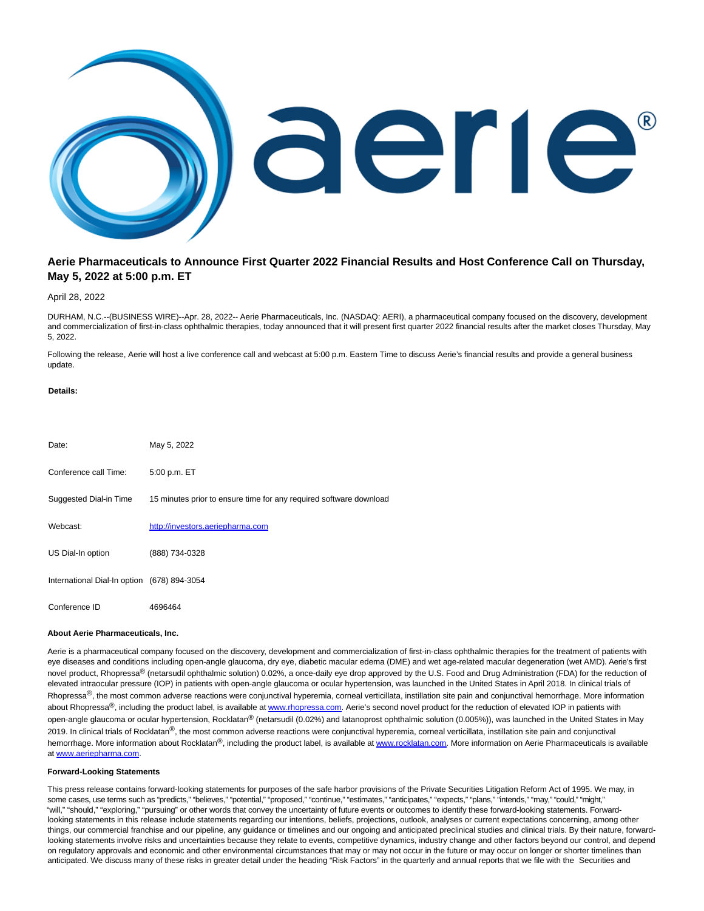

# **Aerie Pharmaceuticals to Announce First Quarter 2022 Financial Results and Host Conference Call on Thursday, May 5, 2022 at 5:00 p.m. ET**

## April 28, 2022

DURHAM, N.C.--(BUSINESS WIRE)--Apr. 28, 2022-- Aerie Pharmaceuticals, Inc. (NASDAQ: AERI), a pharmaceutical company focused on the discovery, development and commercialization of first-in-class ophthalmic therapies, today announced that it will present first quarter 2022 financial results after the market closes Thursday, May 5, 2022.

Following the release, Aerie will host a live conference call and webcast at 5:00 p.m. Eastern Time to discuss Aerie's financial results and provide a general business update.

### **Details:**

| Date:                                       | May 5, 2022                                                        |
|---------------------------------------------|--------------------------------------------------------------------|
| Conference call Time:                       | 5:00 p.m. ET                                                       |
| Suggested Dial-in Time                      | 15 minutes prior to ensure time for any required software download |
| Webcast:                                    | http://investors.aeriepharma.com                                   |
| US Dial-In option                           | (888) 734-0328                                                     |
| International Dial-In option (678) 894-3054 |                                                                    |
| Conference ID                               | 4696464                                                            |

#### **About Aerie Pharmaceuticals, Inc.**

Aerie is a pharmaceutical company focused on the discovery, development and commercialization of first-in-class ophthalmic therapies for the treatment of patients with eye diseases and conditions including open-angle glaucoma, dry eye, diabetic macular edema (DME) and wet age-related macular degeneration (wet AMD). Aerie's first novel product, Rhopressa<sup>®</sup> (netarsudil ophthalmic solution) 0.02%, a once-daily eye drop approved by the U.S. Food and Drug Administration (FDA) for the reduction of elevated intraocular pressure (IOP) in patients with open-angle glaucoma or ocular hypertension, was launched in the United States in April 2018. In clinical trials of Rhopressa<sup>®</sup>, the most common adverse reactions were conjunctival hyperemia, corneal verticillata, instillation site pain and conjunctival hemorrhage. More information about Rhopressa®, including the product label, is available at [www.rhopressa.com.](https://cts.businesswire.com/ct/CT?id=smartlink&url=http%3A%2F%2Fwww.rhopressa.com&esheet=52700437&newsitemid=20220428005492&lan=en-US&anchor=www.rhopressa.com&index=2&md5=34433d53732cc019e4c03ae427569b73) Aerie's second novel product for the reduction of elevated IOP in patients with open-angle glaucoma or ocular hypertension, Rocklatan<sup>®</sup> (netarsudil (0.02%) and latanoprost ophthalmic solution (0.005%)), was launched in the United States in May 2019. In clinical trials of Rocklatan<sup>®</sup>, the most common adverse reactions were conjunctival hyperemia, corneal verticillata, instillation site pain and conjunctival hemorrhage. More information about Rocklatan<sup>®</sup>, including the product label, is available a[t www.rocklatan.com.](https://cts.businesswire.com/ct/CT?id=smartlink&url=http%3A%2F%2Fwww.rocklatan.com&esheet=52700437&newsitemid=20220428005492&lan=en-US&anchor=www.rocklatan.com&index=3&md5=4ae2b3a08ec0a52c2d5f0938ee01787e) More information on Aerie Pharmaceuticals is available a[t www.aeriepharma.com.](https://cts.businesswire.com/ct/CT?id=smartlink&url=http%3A%2F%2Fwww.aeriepharma.com&esheet=52700437&newsitemid=20220428005492&lan=en-US&anchor=www.aeriepharma.com&index=4&md5=463a8e44478742e8abe4c590ad4eaeda)

### **Forward-Looking Statements**

This press release contains forward-looking statements for purposes of the safe harbor provisions of the Private Securities Litigation Reform Act of 1995. We may, in some cases, use terms such as "predicts," "believes," "potential," "proposed," "continue," "estimates," "anticipates," "expects," "plans," "intends," "may," "could," "might," "will," "should," "exploring," "pursuing" or other words that convey the uncertainty of future events or outcomes to identify these forward-looking statements. Forwardlooking statements in this release include statements regarding our intentions, beliefs, projections, outlook, analyses or current expectations concerning, among other things, our commercial franchise and our pipeline, any guidance or timelines and our ongoing and anticipated preclinical studies and clinical trials. By their nature, forwardlooking statements involve risks and uncertainties because they relate to events, competitive dynamics, industry change and other factors beyond our control, and depend on regulatory approvals and economic and other environmental circumstances that may or may not occur in the future or may occur on longer or shorter timelines than anticipated. We discuss many of these risks in greater detail under the heading "Risk Factors" in the quarterly and annual reports that we file with the Securities and